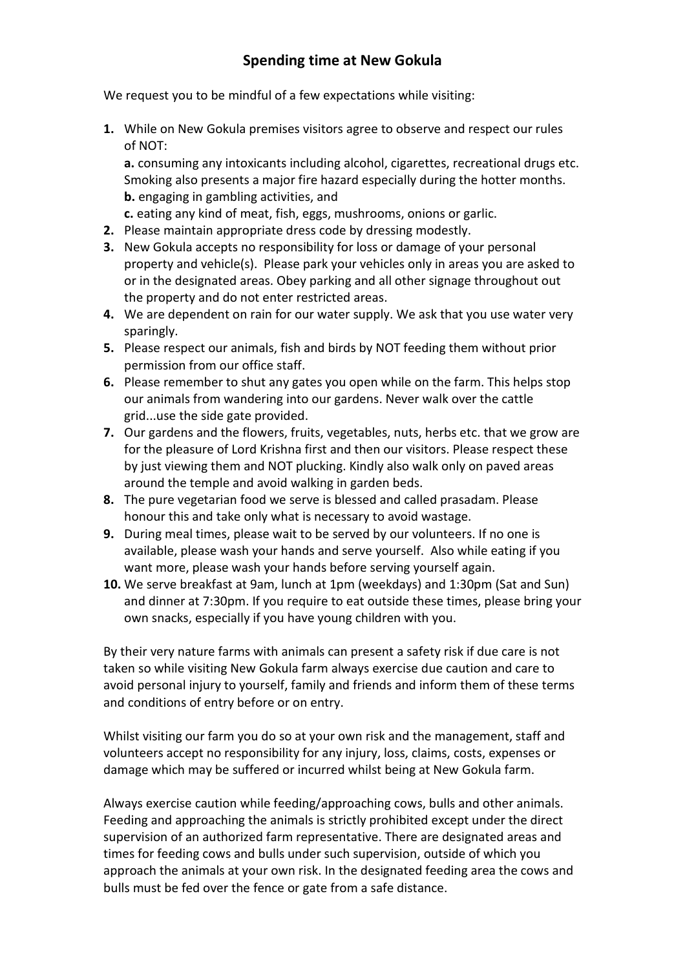## **Spending time at New Gokula**

We request you to be mindful of a few expectations while visiting:

**1.** While on New Gokula premises visitors agree to observe and respect our rules of NOT:

**a.** consuming any intoxicants including alcohol, cigarettes, recreational drugs etc. Smoking also presents a major fire hazard especially during the hotter months. **b.** engaging in gambling activities, and

- **c.** eating any kind of meat, fish, eggs, mushrooms, onions or garlic.
- **2.** Please maintain appropriate dress code by dressing modestly.
- **3.** New Gokula accepts no responsibility for loss or damage of your personal property and vehicle(s). Please park your vehicles only in areas you are asked to or in the designated areas. Obey parking and all other signage throughout out the property and do not enter restricted areas.
- **4.** We are dependent on rain for our water supply. We ask that you use water very sparingly.
- **5.** Please respect our animals, fish and birds by NOT feeding them without prior permission from our office staff.
- **6.** Please remember to shut any gates you open while on the farm. This helps stop our animals from wandering into our gardens. Never walk over the cattle grid...use the side gate provided.
- **7.** Our gardens and the flowers, fruits, vegetables, nuts, herbs etc. that we grow are for the pleasure of Lord Krishna first and then our visitors. Please respect these by just viewing them and NOT plucking. Kindly also walk only on paved areas around the temple and avoid walking in garden beds.
- **8.** The pure vegetarian food we serve is blessed and called prasadam. Please honour this and take only what is necessary to avoid wastage.
- **9.** During meal times, please wait to be served by our volunteers. If no one is available, please wash your hands and serve yourself. Also while eating if you want more, please wash your hands before serving yourself again.
- **10.** We serve breakfast at 9am, lunch at 1pm (weekdays) and 1:30pm (Sat and Sun) and dinner at 7:30pm. If you require to eat outside these times, please bring your own snacks, especially if you have young children with you.

By their very nature farms with animals can present a safety risk if due care is not taken so while visiting New Gokula farm always exercise due caution and care to avoid personal injury to yourself, family and friends and inform them of these terms and conditions of entry before or on entry.

Whilst visiting our farm you do so at your own risk and the management, staff and volunteers accept no responsibility for any injury, loss, claims, costs, expenses or damage which may be suffered or incurred whilst being at New Gokula farm.

Always exercise caution while feeding/approaching cows, bulls and other animals. Feeding and approaching the animals is strictly prohibited except under the direct supervision of an authorized farm representative. There are designated areas and times for feeding cows and bulls under such supervision, outside of which you approach the animals at your own risk. In the designated feeding area the cows and bulls must be fed over the fence or gate from a safe distance.